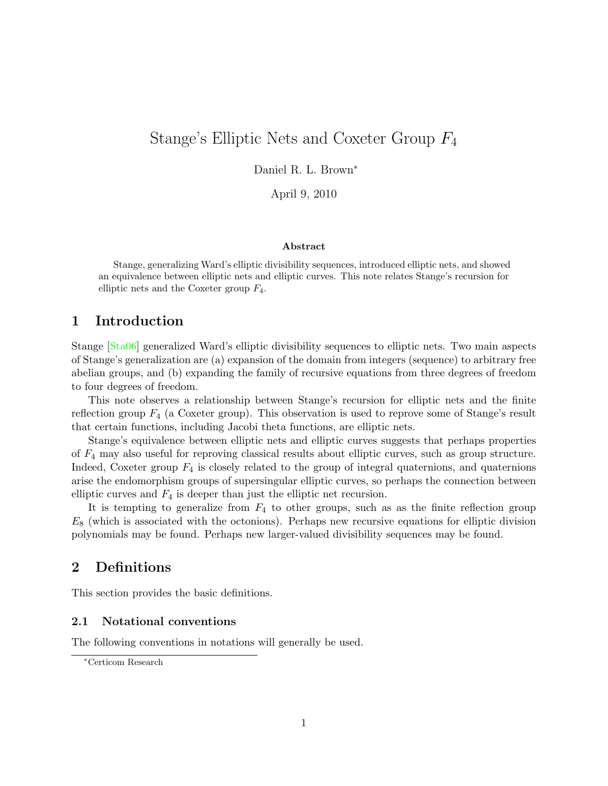# Stange's Elliptic Nets and Coxeter Group F<sup>4</sup>

Daniel R. L. Brown<sup>∗</sup>

April 9, 2010

#### Abstract

Stange, generalizing Ward's elliptic divisibility sequences, introduced elliptic nets, and showed an equivalence between elliptic nets and elliptic curves. This note relates Stange's recursion for elliptic nets and the Coxeter group  $F_4$ .

# 1 Introduction

Stange [\[Sta06\]](#page-9-0) generalized Ward's elliptic divisibility sequences to elliptic nets. Two main aspects of Stange's generalization are (a) expansion of the domain from integers (sequence) to arbitrary free abelian groups, and (b) expanding the family of recursive equations from three degrees of freedom to four degrees of freedom.

This note observes a relationship between Stange's recursion for elliptic nets and the finite reflection group  $F_4$  (a Coxeter group). This observation is used to reprove some of Stange's result that certain functions, including Jacobi theta functions, are elliptic nets.

Stange's equivalence between elliptic nets and elliptic curves suggests that perhaps properties of F<sup>4</sup> may also useful for reproving classical results about elliptic curves, such as group structure. Indeed, Coxeter group  $F_4$  is closely related to the group of integral quaternions, and quaternions arise the endomorphism groups of supersingular elliptic curves, so perhaps the connection between elliptic curves and  $F_4$  is deeper than just the elliptic net recursion.

It is tempting to generalize from  $F_4$  to other groups, such as as the finite reflection group  $E_8$  (which is associated with the octonions). Perhaps new recursive equations for elliptic division polynomials may be found. Perhaps new larger-valued divisibility sequences may be found.

# 2 Definitions

This section provides the basic definitions.

### 2.1 Notational conventions

The following conventions in notations will generally be used.

<sup>∗</sup>Certicom Research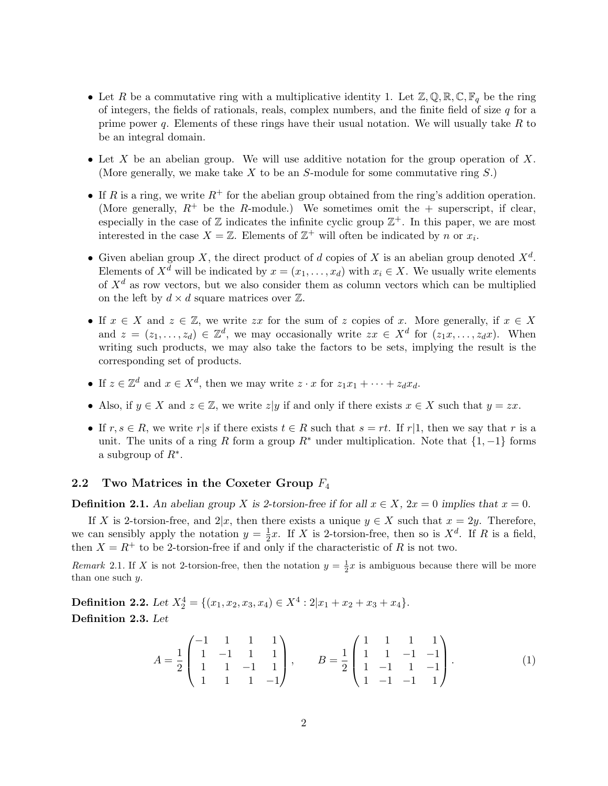- Let R be a commutative ring with a multiplicative identity 1. Let  $\mathbb{Z}, \mathbb{Q}, \mathbb{R}, \mathbb{C}, \mathbb{F}_q$  be the ring of integers, the fields of rationals, reals, complex numbers, and the finite field of size  $q$  for a prime power q. Elements of these rings have their usual notation. We will usually take  $R$  to be an integral domain.
- Let X be an abelian group. We will use additive notation for the group operation of X. (More generally, we make take X to be an S-module for some commutative ring  $S$ .)
- If R is a ring, we write  $R^+$  for the abelian group obtained from the ring's addition operation. (More generally,  $R^+$  be the R-module.) We sometimes omit the  $+$  superscript, if clear, especially in the case of  $\mathbb Z$  indicates the infinite cyclic group  $\mathbb Z^+$ . In this paper, we are most interested in the case  $X = \mathbb{Z}$ . Elements of  $\mathbb{Z}^+$  will often be indicated by n or  $x_i$ .
- Given abelian group X, the direct product of d copies of X is an abelian group denoted  $X^d$ . Elements of  $X^d$  will be indicated by  $x = (x_1, \ldots, x_d)$  with  $x_i \in X$ . We usually write elements of  $X^d$  as row vectors, but we also consider them as column vectors which can be multiplied on the left by  $d \times d$  square matrices over  $\mathbb{Z}$ .
- If  $x \in X$  and  $z \in \mathbb{Z}$ , we write zx for the sum of z copies of x. More generally, if  $x \in X$ and  $z = (z_1, \ldots, z_d) \in \mathbb{Z}^d$ , we may occasionally write  $zx \in X^d$  for  $(z_1x, \ldots, z_dx)$ . When writing such products, we may also take the factors to be sets, implying the result is the corresponding set of products.
- If  $z \in \mathbb{Z}^d$  and  $x \in X^d$ , then we may write  $z \cdot x$  for  $z_1x_1 + \cdots + z_dx_d$ .
- Also, if  $y \in X$  and  $z \in \mathbb{Z}$ , we write  $z|y$  if and only if there exists  $x \in X$  such that  $y = zx$ .
- If  $r, s \in R$ , we write r|s if there exists  $t \in R$  such that  $s = rt$ . If r|1, then we say that r is a unit. The units of a ring R form a group  $R^*$  under multiplication. Note that  $\{1, -1\}$  forms a subgroup of  $R^*$ .

### 2.2 Two Matrices in the Coxeter Group  $F_4$

**Definition 2.1.** An abelian group X is 2-torsion-free if for all  $x \in X$ ,  $2x = 0$  implies that  $x = 0$ .

If X is 2-torsion-free, and  $2|x$ , then there exists a unique  $y \in X$  such that  $x = 2y$ . Therefore, we can sensibly apply the notation  $y = \frac{1}{2}$  $\frac{1}{2}x$ . If X is 2-torsion-free, then so is  $X^d$ . If R is a field, then  $X = R^+$  to be 2-torsion-free if and only if the characteristic of R is not two.

Remark 2.1. If X is not 2-torsion-free, then the notation  $y = \frac{1}{2}x$  is ambiguous because there will be more than one such y.

**Definition 2.2.** Let  $X_2^4 = \{(x_1, x_2, x_3, x_4) \in X^4 : 2|x_1 + x_2 + x_3 + x_4\}.$ Definition 2.3. Let

$$
A = \frac{1}{2} \begin{pmatrix} -1 & 1 & 1 & 1 \\ 1 & -1 & 1 & 1 \\ 1 & 1 & -1 & 1 \\ 1 & 1 & 1 & -1 \end{pmatrix}, \qquad B = \frac{1}{2} \begin{pmatrix} 1 & 1 & 1 & 1 \\ 1 & 1 & -1 & -1 \\ 1 & -1 & 1 & -1 \\ 1 & -1 & -1 & 1 \end{pmatrix}.
$$
 (1)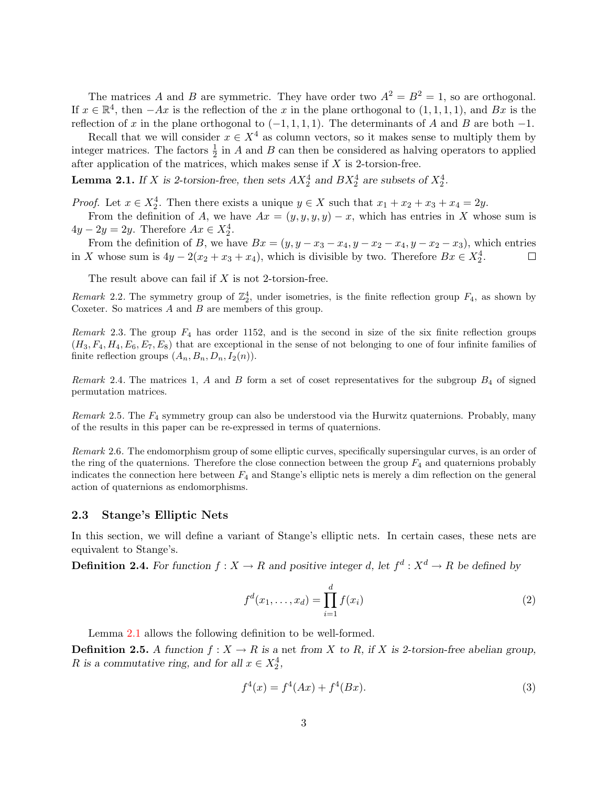The matrices A and B are symmetric. They have order two  $A^2 = B^2 = 1$ , so are orthogonal. If  $x \in \mathbb{R}^4$ , then  $-Ax$  is the reflection of the x in the plane orthogonal to  $(1,1,1,1)$ , and  $Bx$  is the reflection of x in the plane orthogonal to  $(-1, 1, 1, 1)$ . The determinants of A and B are both  $-1$ .

Recall that we will consider  $x \in X^4$  as column vectors, so it makes sense to multiply them by integer matrices. The factors  $\frac{1}{2}$  in A and B can then be considered as halving operators to applied after application of the matrices, which makes sense if  $X$  is 2-torsion-free.

<span id="page-2-0"></span>**Lemma 2.1.** If X is 2-torsion-free, then sets  $AX_2^4$  and  $BX_2^4$  are subsets of  $X_2^4$ .

*Proof.* Let  $x \in X_2^4$ . Then there exists a unique  $y \in X$  such that  $x_1 + x_2 + x_3 + x_4 = 2y$ .

From the definition of A, we have  $Ax = (y, y, y, y) - x$ , which has entries in X whose sum is  $4y - 2y = 2y$ . Therefore  $Ax \in X_2^4$ .

From the definition of B, we have  $Bx = (y, y - x_3 - x_4, y - x_2 - x_4, y - x_2 - x_3)$ , which entries in X whose sum is  $4y - 2(x_2 + x_3 + x_4)$ , which is divisible by two. Therefore  $Bx \in X_2^4$ .  $\Box$ 

The result above can fail if  $X$  is not 2-torsion-free.

Remark 2.2. The symmetry group of  $\mathbb{Z}_2^4$ , under isometries, is the finite reflection group  $F_4$ , as shown by Coxeter. So matrices A and B are members of this group.

Remark 2.3. The group  $F_4$  has order 1152, and is the second in size of the six finite reflection groups  $(H_3, F_4, H_4, E_6, E_7, E_8)$  that are exceptional in the sense of not belonging to one of four infinite families of finite reflection groups  $(A_n, B_n, D_n, I_2(n))$ .

Remark 2.4. The matrices 1, A and B form a set of coset representatives for the subgroup  $B_4$  of signed permutation matrices.

Remark 2.5. The  $F_4$  symmetry group can also be understood via the Hurwitz quaternions. Probably, many of the results in this paper can be re-expressed in terms of quaternions.

Remark 2.6. The endomorphism group of some elliptic curves, specifically supersingular curves, is an order of the ring of the quaternions. Therefore the close connection between the group  $F_4$  and quaternions probably indicates the connection here between  $F_4$  and Stange's elliptic nets is merely a dim reflection on the general action of quaternions as endomorphisms.

#### 2.3 Stange's Elliptic Nets

In this section, we will define a variant of Stange's elliptic nets. In certain cases, these nets are equivalent to Stange's.

**Definition 2.4.** For function  $f: X \to R$  and positive integer d, let  $f^d: X^d \to R$  be defined by

$$
f^{d}(x_1, ..., x_d) = \prod_{i=1}^{d} f(x_i)
$$
 (2)

Lemma [2.1](#page-2-0) allows the following definition to be well-formed.

**Definition 2.5.** A function  $f: X \to R$  is a net from X to R, if X is 2-torsion-free abelian group, R is a commutative ring, and for all  $x \in X_2^4$ ,

<span id="page-2-1"></span>
$$
f^4(x) = f^4(Ax) + f^4(Bx). \tag{3}
$$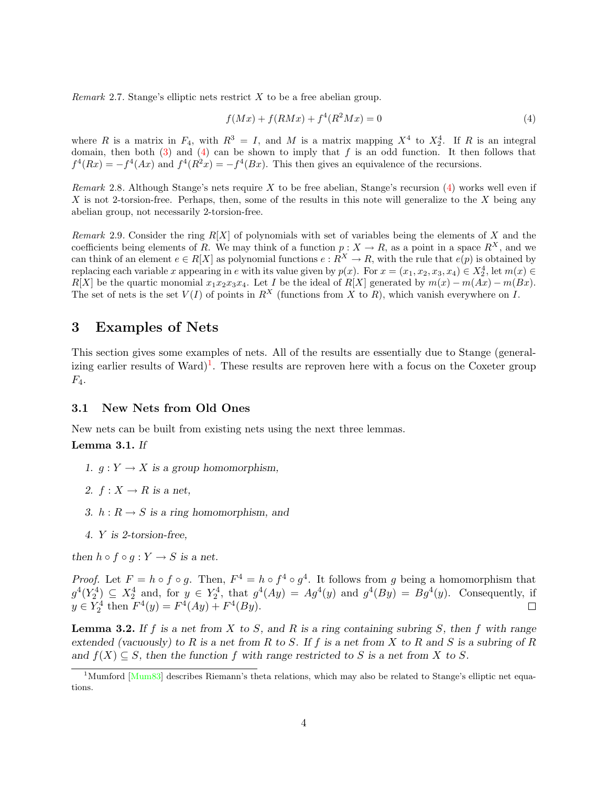*Remark* 2.7. Stange's elliptic nets restrict  $X$  to be a free abelian group.

<span id="page-3-0"></span>
$$
f(Mx) + f(RMx) + f^{4}(R^{2}Mx) = 0
$$
\n(4)

where R is a matrix in  $F_4$ , with  $R^3 = I$ , and M is a matrix mapping  $X^4$  to  $X_2^4$ . If R is an integral domain, then both  $(3)$  and  $(4)$  can be shown to imply that f is an odd function. It then follows that  $f^4(Rx) = -f^4(Ax)$  and  $f^4(R^2x) = -f^4(Bx)$ . This then gives an equivalence of the recursions.

Remark 2.8. Although Stange's nets require X to be free abelian, Stange's recursion  $(4)$  works well even if  $X$  is not 2-torsion-free. Perhaps, then, some of the results in this note will generalize to the  $X$  being any abelian group, not necessarily 2-torsion-free.

Remark 2.9. Consider the ring  $R[X]$  of polynomials with set of variables being the elements of X and the coefficients being elements of R. We may think of a function  $p : X \to R$ , as a point in a space  $R^X$ , and we can think of an element  $e \in R[X]$  as polynomial functions  $e: R^X \to R$ , with the rule that  $e(p)$  is obtained by replacing each variable x appearing in e with its value given by  $p(x)$ . For  $x = (x_1, x_2, x_3, x_4) \in X_2^4$ , let  $m(x) \in$  $R[X]$  be the quartic monomial  $x_1x_2x_3x_4$ . Let I be the ideal of  $R[X]$  generated by  $m(x) - m(Ax) - m(Bx)$ . The set of nets is the set  $V(I)$  of points in  $R^X$  (functions from X to R), which vanish everywhere on I.

# 3 Examples of Nets

This section gives some examples of nets. All of the results are essentially due to Stange (general-izing earlier results of Ward)<sup>[1](#page-3-1)</sup>. These results are reproven here with a focus on the Coxeter group  $F_4$ .

### 3.1 New Nets from Old Ones

New nets can be built from existing nets using the next three lemmas.

### <span id="page-3-2"></span>Lemma 3.1. If

- 1.  $g: Y \to X$  is a group homomorphism,
- 2.  $f: X \rightarrow R$  is a net,
- 3.  $h: R \to S$  is a ring homomorphism, and
- 4. Y is 2-torsion-free,

then  $h \circ f \circ q : Y \to S$  is a net.

*Proof.* Let  $F = h \circ f \circ g$ . Then,  $F^4 = h \circ f^4 \circ g^4$ . It follows from g being a homomorphism that  $g^4(Y_2^4) \subseteq X_2^4$  and, for  $y \in Y_2^4$ , that  $g^4(Ay) = Ag^4(y)$  and  $g^4(By) = Bg^4(y)$ . Consequently, if  $y \in Y_2^4$  then  $F^4(y) = F^4(Ay) + F^4(By)$ .

<span id="page-3-3"></span>**Lemma 3.2.** If f is a net from X to S, and R is a ring containing subring S, then f with range extended (vacuously) to R is a net from R to S. If f is a net from X to R and S is a subring of R and  $f(X) \subseteq S$ , then the function f with range restricted to S is a net from X to S.

<span id="page-3-1"></span><sup>&</sup>lt;sup>1</sup>Mumford [\[Mum83\]](#page-9-1) describes Riemann's theta relations, which may also be related to Stange's elliptic net equations.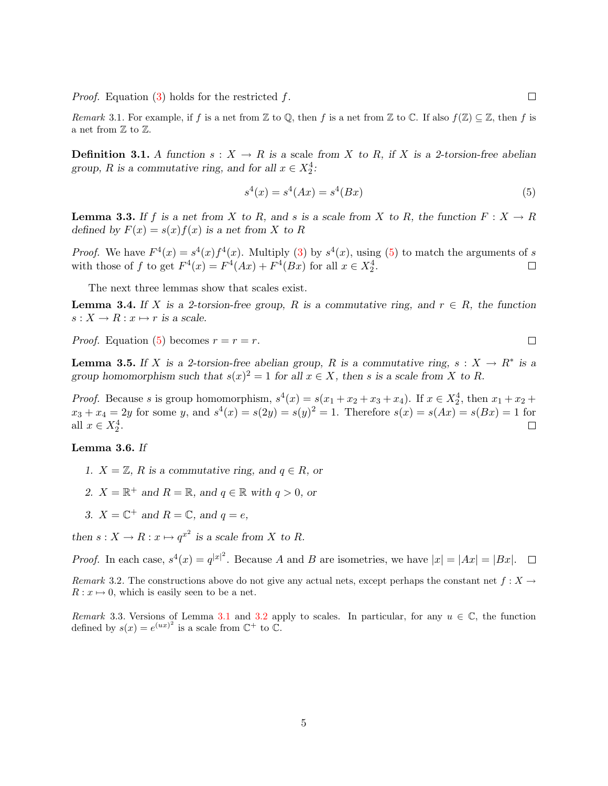*Proof.* Equation  $(3)$  holds for the restricted f.

Remark 3.1. For example, if f is a net from Z to Q, then f is a net from Z to C. If also  $f(\mathbb{Z}) \subseteq \mathbb{Z}$ , then f is a net from  $\mathbb Z$  to  $\mathbb Z.$ 

**Definition 3.1.** A function  $s: X \to R$  is a scale from X to R, if X is a 2-torsion-free abelian group, R is a commutative ring, and for all  $x \in X_2^4$ :

<span id="page-4-0"></span>
$$
s^4(x) = s^4(Ax) = s^4(Bx)
$$
\n(5)

**Lemma 3.3.** If f is a net from X to R, and s is a scale from X to R, the function  $F: X \to R$ defined by  $F(x) = s(x) f(x)$  is a net from X to R

*Proof.* We have  $F^4(x) = s^4(x)f^4(x)$ . Multiply [\(3\)](#page-2-1) by  $s^4(x)$ , using [\(5\)](#page-4-0) to match the arguments of s with those of f to get  $F^4(x) = F^4(Ax) + F^4(Bx)$  for all  $x \in X_2^4$ .  $\Box$ 

The next three lemmas show that scales exist.

<span id="page-4-1"></span>**Lemma 3.4.** If X is a 2-torsion-free group, R is a commutative ring, and  $r \in R$ , the function  $s: X \to R: x \mapsto r$  is a scale.

 $\Box$ *Proof.* Equation [\(5\)](#page-4-0) becomes  $r = r = r$ .

**Lemma 3.5.** If X is a 2-torsion-free abelian group, R is a commutative ring,  $s: X \to R^*$  is a group homomorphism such that  $s(x)^2 = 1$  for all  $x \in X$ , then s is a scale from X to R.

*Proof.* Because s is group homomorphism,  $s^4(x) = s(x_1 + x_2 + x_3 + x_4)$ . If  $x \in X_2^4$ , then  $x_1 + x_2 + x_3 + x_4$ .  $x_3 + x_4 = 2y$  for some y, and  $s^4(x) = s(2y) = s(y)^2 = 1$ . Therefore  $s(x) = s(Ax) = s(Bx) = 1$  for all  $x \in X_2^4$ .  $\Box$ 

### Lemma 3.6. If

- 1.  $X = \mathbb{Z}$ , R is a commutative ring, and  $q \in R$ , or
- 2.  $X = \mathbb{R}^+$  and  $R = \mathbb{R}$ , and  $q \in \mathbb{R}$  with  $q > 0$ , or
- 3.  $X = \mathbb{C}^+$  and  $R = \mathbb{C}$ , and  $q = e$ ,

then  $s: X \to R: x \mapsto q^{x^2}$  is a scale from X to R.

*Proof.* In each case,  $s^4(x) = q^{|x|^2}$ . Because A and B are isometries, we have  $|x| = |Ax| = |Bx|$ .

Remark 3.2. The constructions above do not give any actual nets, except perhaps the constant net  $f: X \to$  $R: x \mapsto 0$ , which is easily seen to be a net.

Remark 3.3. Versions of Lemma [3.1](#page-3-2) and [3.2](#page-3-3) apply to scales. In particular, for any  $u \in \mathbb{C}$ , the function defined by  $s(x) = e^{(ux)^2}$  is a scale from  $\mathbb{C}^+$  to  $\mathbb{C}$ .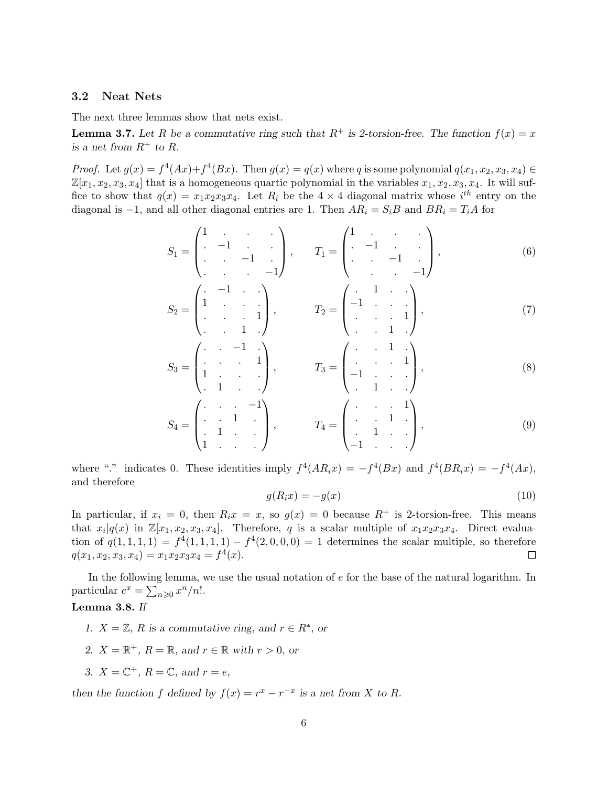#### 3.2 Neat Nets

The next three lemmas show that nets exist.

<span id="page-5-0"></span>**Lemma 3.7.** Let R be a commutative ring such that  $R^+$  is 2-torsion-free. The function  $f(x) = x$ is a net from  $R^+$  to R.

*Proof.* Let  $g(x) = f^4(Ax) + f^4(Bx)$ . Then  $g(x) = q(x)$  where q is some polynomial  $q(x_1, x_2, x_3, x_4) \in$  $\mathbb{Z}[x_1, x_2, x_3, x_4]$  that is a homogeneous quartic polynomial in the variables  $x_1, x_2, x_3, x_4$ . It will suffice to show that  $q(x) = x_1 x_2 x_3 x_4$ . Let  $R_i$  be the  $4 \times 4$  diagonal matrix whose  $i^{th}$  entry on the diagonal is -1, and all other diagonal entries are 1. Then  $AR_i = S_iB$  and  $BR_i = T_iA$  for

$$
S_1 = \begin{pmatrix} 1 & 1 & 1 \\ 1 & -1 & 1 \\ 1 & 1 & -1 \end{pmatrix}, \qquad T_1 = \begin{pmatrix} 1 & 1 & 1 \\ 1 & -1 & 1 \\ 1 & 1 & -1 \end{pmatrix}, \tag{6}
$$

$$
S_2 = \begin{pmatrix} . & -1 & . & . \\ 1 & . & . & . \\ . & . & . & 1 \\ . & . & 1 & . \end{pmatrix}, \qquad T_2 = \begin{pmatrix} . & 1 & . & . \\ -1 & . & . & . \\ . & . & 1 & . \end{pmatrix}, \tag{7}
$$

$$
S_3 = \begin{pmatrix} . & . & -1 & . \\ . & . & . & 1 \\ 1 & . & . & . \\ . & 1 & . & . \end{pmatrix}, \qquad T_3 = \begin{pmatrix} . & . & 1 & . \\ . & . & . & 1 \\ -1 & . & . & . \\ . & 1 & . & . \end{pmatrix}, \qquad (8)
$$

$$
S_4 = \begin{pmatrix} . & . & . & -1 \\ . & . & 1 & . \\ . & 1 & . & . \\ 1 & . & . & . \end{pmatrix}, \qquad T_4 = \begin{pmatrix} . & . & . & 1 \\ . & . & 1 & . \\ . & 1 & . & . \\ -1 & . & . & . \end{pmatrix}, \qquad (9)
$$

where "." indicates 0. These identities imply  $f^4(A R_i x) = -f^4(B x)$  and  $f^4(B R_i x) = -f^4(A x)$ , and therefore

$$
g(R_ix) = -g(x) \tag{10}
$$

In particular, if  $x_i = 0$ , then  $R_ix = x$ , so  $g(x) = 0$  because  $R^+$  is 2-torsion-free. This means that  $x_i|q(x)$  in  $\mathbb{Z}[x_1, x_2, x_3, x_4]$ . Therefore, q is a scalar multiple of  $x_1x_2x_3x_4$ . Direct evaluation of  $q(1,1,1,1) = f^{4}(1,1,1,1) - f^{4}(2,0,0,0) = 1$  determines the scalar multiple, so therefore  $q(x_1, x_2, x_3, x_4) = x_1 x_2 x_3 x_4 = f^4(x).$  $\Box$ 

In the following lemma, we use the usual notation of e for the base of the natural logarithm. In particular  $e^x = \sum_{n\geqslant 0} x^n/n!$ .

### <span id="page-5-1"></span>Lemma 3.8. If

- 1.  $X = \mathbb{Z}$ , R is a commutative ring, and  $r \in R^*$ , or
- 2.  $X = \mathbb{R}^+, R = \mathbb{R}$ , and  $r \in \mathbb{R}$  with  $r > 0$ , or
- 3.  $X = \mathbb{C}^+$ ,  $R = \mathbb{C}$ , and  $r = e$ ,

then the function f defined by  $f(x) = r^x - r^{-x}$  is a net from X to R.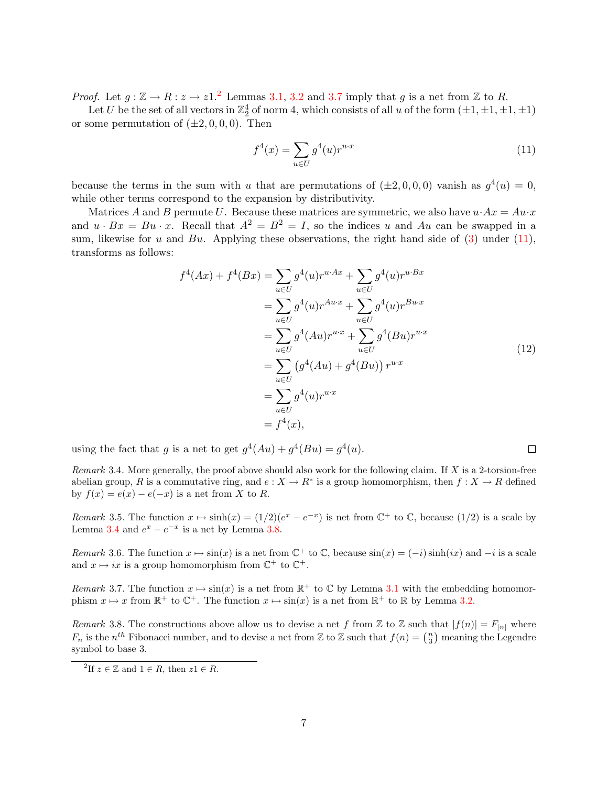*Proof.* Let  $g : \mathbb{Z} \to \mathbb{R} : z \mapsto z1$ .<sup>[2](#page-6-0)</sup> Lemmas [3.1,](#page-3-2) [3.2](#page-3-3) and [3.7](#page-5-0) imply that g is a net from  $\mathbb{Z}$  to R.

Let U be the set of all vectors in  $\mathbb{Z}_2^4$  of norm 4, which consists of all u of the form  $(\pm 1, \pm 1, \pm 1, \pm 1)$ or some permutation of  $(\pm 2, 0, 0, 0)$ . Then

<span id="page-6-1"></span>
$$
f^{4}(x) = \sum_{u \in U} g^{4}(u) r^{u \cdot x}
$$
\n(11)

because the terms in the sum with u that are permutations of  $(\pm 2, 0, 0, 0)$  vanish as  $g^4(u) = 0$ , while other terms correspond to the expansion by distributivity.

Matrices A and B permute U. Because these matrices are symmetric, we also have  $u \cdot Ax = Au \cdot x$ and  $u \cdot Bx = Bu \cdot x$ . Recall that  $A^2 = B^2 = I$ , so the indices u and Au can be swapped in a sum, likewise for u and Bu. Applying these observations, the right hand side of  $(3)$  under  $(11)$ , transforms as follows:

$$
f^{4}(Ax) + f^{4}(Bx) = \sum_{u \in U} g^{4}(u)r^{u \cdot Ax} + \sum_{u \in U} g^{4}(u)r^{u \cdot Bx}
$$
  
= 
$$
\sum_{u \in U} g^{4}(u)r^{Au \cdot x} + \sum_{u \in U} g^{4}(u)r^{Bu \cdot x}
$$
  
= 
$$
\sum_{u \in U} g^{4}(Au)r^{u \cdot x} + \sum_{u \in U} g^{4}(Bu)r^{u \cdot x}
$$
  
= 
$$
\sum_{u \in U} (g^{4}(Au) + g^{4}(Bu))r^{u \cdot x}
$$
  
= 
$$
\sum_{u \in U} g^{4}(u)r^{u \cdot x}
$$
  
= 
$$
f^{4}(x),
$$
 (12)

 $\Box$ 

using the fact that g is a net to get  $g^4(Au) + g^4(Bu) = g^4(u)$ .

Remark 3.4. More generally, the proof above should also work for the following claim. If X is a 2-torsion-free abelian group, R is a commutative ring, and  $e: X \to R^*$  is a group homomorphism, then  $f: X \to R$  defined by  $f(x) = e(x) - e(-x)$  is a net from X to R.

Remark 3.5. The function  $x \mapsto \sinh(x) = (1/2)(e^x - e^{-x})$  is net from  $\mathbb{C}^+$  to  $\mathbb{C}$ , because  $(1/2)$  is a scale by Lemma [3.4](#page-4-1) and  $e^x - e^{-x}$  is a net by Lemma [3.8.](#page-5-1)

Remark 3.6. The function  $x \mapsto \sin(x)$  is a net from  $\mathbb{C}^+$  to  $\mathbb{C}$ , because  $\sin(x) = (-i) \sinh(ix)$  and  $-i$  is a scale and  $x \mapsto ix$  is a group homomorphism from  $\mathbb{C}^+$  to  $\mathbb{C}^+$ .

Remark 3.7. The function  $x \mapsto \sin(x)$  is a net from  $\mathbb{R}^+$  to  $\mathbb{C}$  by Lemma [3.1](#page-3-2) with the embedding homomorphism  $x \mapsto x$  from  $\mathbb{R}^+$  to  $\mathbb{C}^+$ . The function  $x \mapsto \sin(x)$  is a net from  $\mathbb{R}^+$  to  $\mathbb{R}$  by Lemma [3.2.](#page-3-3)

Remark 3.8. The constructions above allow us to devise a net f from Z to Z such that  $|f(n)| = F_{|n|}$  where  $F_n$  is the  $n^{th}$  Fibonacci number, and to devise a net from Z to Z such that  $f(n) = \left(\frac{n}{3}\right)$  meaning the Legendre symbol to base 3.

<span id="page-6-0"></span><sup>&</sup>lt;sup>2</sup>If  $z \in \mathbb{Z}$  and  $1 \in R$ , then  $z1 \in R$ .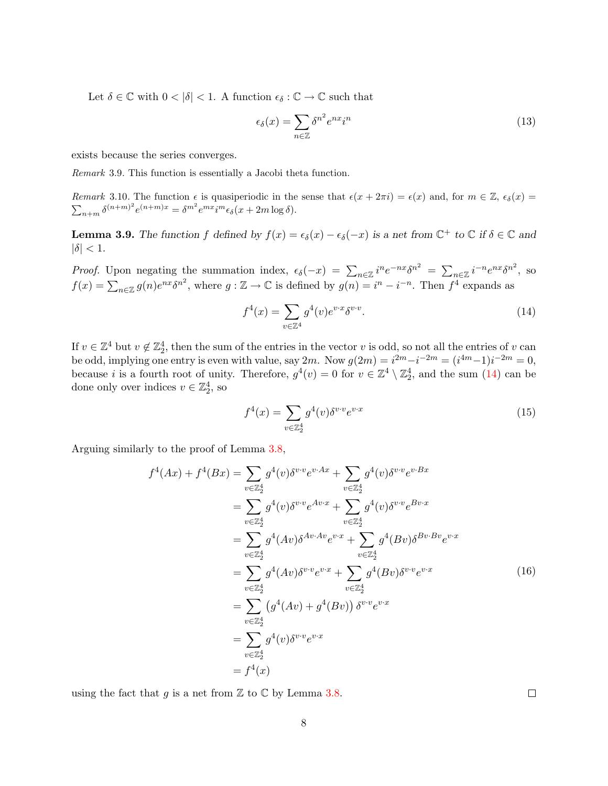Let  $\delta \in \mathbb{C}$  with  $0 < |\delta| < 1$ . A function  $\epsilon_{\delta} : \mathbb{C} \to \mathbb{C}$  such that

$$
\epsilon_{\delta}(x) = \sum_{n \in \mathbb{Z}} \delta^{n^2} e^{nx} i^n \tag{13}
$$

exists because the series converges.

Remark 3.9. This function is essentially a Jacobi theta function.

Remark 3.10. The function  $\epsilon$  is quasiperiodic in the sense that  $\epsilon(x + 2\pi i) = \epsilon(x)$  and, for  $m \in \mathbb{Z}$ ,  $\epsilon_{\delta}(x) =$  $\sum_{n+m} \delta^{(n+m)^2} e^{(n+m)x} = \delta^{m^2} e^{mx} i^m \epsilon_{\delta}(x+2m \log \delta).$ 

<span id="page-7-1"></span>**Lemma 3.9.** The function f defined by  $f(x) = \epsilon_{\delta}(x) - \epsilon_{\delta}(-x)$  is a net from  $\mathbb{C}^+$  to  $\mathbb{C}$  if  $\delta \in \mathbb{C}$  and  $|\delta| < 1$ .

*Proof.* Upon negating the summation index,  $\epsilon_{\delta}(-x) = \sum_{n \in \mathbb{Z}} i^n e^{-nx} \delta^{n^2} = \sum_{n \in \mathbb{Z}} i^{-n} e^{nx} \delta^{n^2}$ , so  $f(x) = \sum_{n \in \mathbb{Z}} g(n) e^{nx} \delta^{n^2}$ , where  $g: \mathbb{Z} \to \mathbb{C}$  is defined by  $g(n) = i^n - i^{-n}$ . Then  $f^4$  expands as

<span id="page-7-0"></span>
$$
f^4(x) = \sum_{v \in \mathbb{Z}^4} g^4(v)e^{v \cdot x} \delta^{v \cdot v}.
$$
 (14)

If  $v \in \mathbb{Z}^4$  but  $v \notin \mathbb{Z}_2^4$ , then the sum of the entries in the vector v is odd, so not all the entries of v can be odd, implying one entry is even with value, say  $2m$ . Now  $g(2m) = i^{2m} - i^{-2m} = (i^{4m}-1)i^{-2m} = 0$ , because *i* is a fourth root of unity. Therefore,  $g^4(v) = 0$  for  $v \in \mathbb{Z}^4 \setminus \mathbb{Z}_2^4$ , and the sum [\(14\)](#page-7-0) can be done only over indices  $v \in \mathbb{Z}_2^4$ , so

$$
f^{4}(x) = \sum_{v \in \mathbb{Z}_{2}^{4}} g^{4}(v) \delta^{v \cdot v} e^{v \cdot x}
$$
 (15)

Arguing similarly to the proof of Lemma [3.8,](#page-5-1)

$$
f^{4}(Ax) + f^{4}(Bx) = \sum_{v \in \mathbb{Z}_{2}^{4}} g^{4}(v)\delta^{v \cdot v} e^{v \cdot Ax} + \sum_{v \in \mathbb{Z}_{2}^{4}} g^{4}(v)\delta^{v \cdot v} e^{v \cdot Bx}
$$
  
\n
$$
= \sum_{v \in \mathbb{Z}_{2}^{4}} g^{4}(v)\delta^{v \cdot v} e^{Av \cdot x} + \sum_{v \in \mathbb{Z}_{2}^{4}} g^{4}(v)\delta^{v \cdot v} e^{Bv \cdot x}
$$
  
\n
$$
= \sum_{v \in \mathbb{Z}_{2}^{4}} g^{4}(Av)\delta^{Av \cdot Av} e^{v \cdot x} + \sum_{v \in \mathbb{Z}_{2}^{4}} g^{4}(Bv)\delta^{Bv \cdot Bv} e^{v \cdot x}
$$
  
\n
$$
= \sum_{v \in \mathbb{Z}_{2}^{4}} g^{4}(Av)\delta^{v \cdot v} e^{v \cdot x} + \sum_{v \in \mathbb{Z}_{2}^{4}} g^{4}(Bv)\delta^{v \cdot v} e^{v \cdot x}
$$
  
\n
$$
= \sum_{v \in \mathbb{Z}_{2}^{4}} (g^{4}(Av) + g^{4}(Bv)) \delta^{v \cdot v} e^{v \cdot x}
$$
  
\n
$$
= \sum_{v \in \mathbb{Z}_{2}^{4}} g^{4}(v)\delta^{v \cdot v} e^{v \cdot x}
$$
  
\n
$$
= f^{4}(x)
$$
  
\n(16)

using the fact that g is a net from  $\mathbb Z$  to  $\mathbb C$  by Lemma [3.8.](#page-5-1)

 $\Box$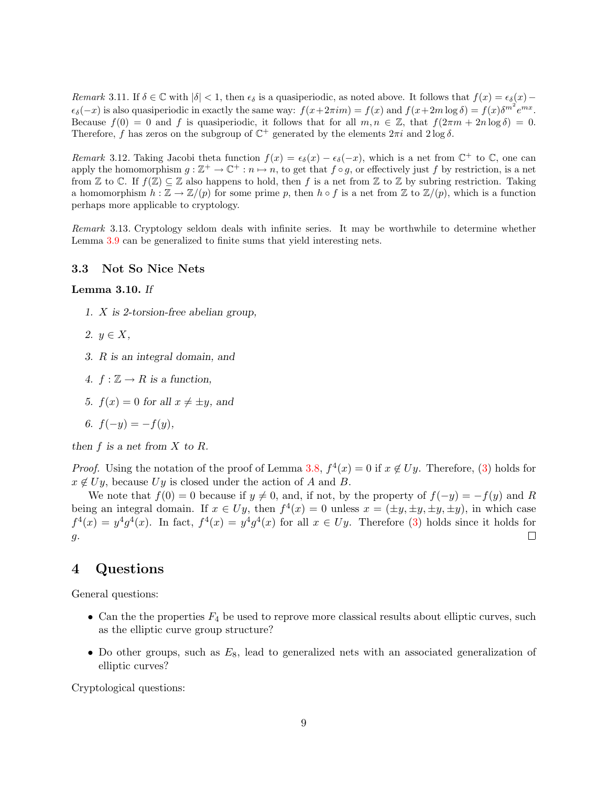Remark 3.11. If  $\delta \in \mathbb{C}$  with  $|\delta| < 1$ , then  $\epsilon_{\delta}$  is a quasiperiodic, as noted above. It follows that  $f(x) = \epsilon_{\delta}(x) \epsilon_{\delta}(-x)$  is also quasiperiodic in exactly the same way:  $f(x+2\pi im) = f(x)$  and  $f(x+2m \log \delta) = f(x)\delta^{m^2}e^{mx}$ . Because  $f(0) = 0$  and f is quasiperiodic, it follows that for all  $m, n \in \mathbb{Z}$ , that  $f(2\pi m + 2n \log \delta) = 0$ . Therefore, f has zeros on the subgroup of  $\mathbb{C}^+$  generated by the elements  $2\pi i$  and  $2\log \delta$ .

Remark 3.12. Taking Jacobi theta function  $f(x) = \epsilon_{\delta}(x) - \epsilon_{\delta}(-x)$ , which is a net from  $\mathbb{C}^+$  to  $\mathbb{C}$ , one can apply the homomorphism  $g : \mathbb{Z}^+ \to \mathbb{C}^+ : n \mapsto n$ , to get that  $f \circ g$ , or effectively just f by restriction, is a net from Z to C. If  $f(\mathbb{Z}) \subseteq \mathbb{Z}$  also happens to hold, then f is a net from Z to Z by subring restriction. Taking a homomorphism  $h : \mathbb{Z} \to \mathbb{Z}/(p)$  for some prime p, then  $h \circ f$  is a net from  $\mathbb{Z}$  to  $\mathbb{Z}/(p)$ , which is a function perhaps more applicable to cryptology.

Remark 3.13. Cryptology seldom deals with infinite series. It may be worthwhile to determine whether Lemma [3.9](#page-7-1) can be generalized to finite sums that yield interesting nets.

#### 3.3 Not So Nice Nets

#### Lemma 3.10. If

- 1. X is 2-torsion-free abelian group,
- 2.  $y \in X$ ,
- 3. R is an integral domain, and
- 4.  $f : \mathbb{Z} \to R$  is a function,
- 5.  $f(x) = 0$  for all  $x \neq \pm y$ , and
- 6.  $f(-y) = -f(y)$ ,

then  $f$  is a net from  $X$  to  $R$ .

*Proof.* Using the notation of the proof of Lemma [3.8,](#page-5-1)  $f^4(x) = 0$  if  $x \notin U_y$ . Therefore, [\(3\)](#page-2-1) holds for  $x \notin Uy$ , because Uy is closed under the action of A and B.

We note that  $f(0) = 0$  because if  $y \neq 0$ , and, if not, by the property of  $f(-y) = -f(y)$  and R being an integral domain. If  $x \in Uy$ , then  $f^4(x) = 0$  unless  $x = (\pm y, \pm y, \pm y, \pm y)$ , in which case  $f^{4}(x) = y^{4}g^{4}(x)$ . In fact,  $f^{4}(x) = y^{4}g^{4}(x)$  for all  $x \in Uy$ . Therefore [\(3\)](#page-2-1) holds since it holds for  $\Box$ g.

# 4 Questions

General questions:

- Can the the properties  $F_4$  be used to reprove more classical results about elliptic curves, such as the elliptic curve group structure?
- Do other groups, such as  $E_8$ , lead to generalized nets with an associated generalization of elliptic curves?

Cryptological questions: